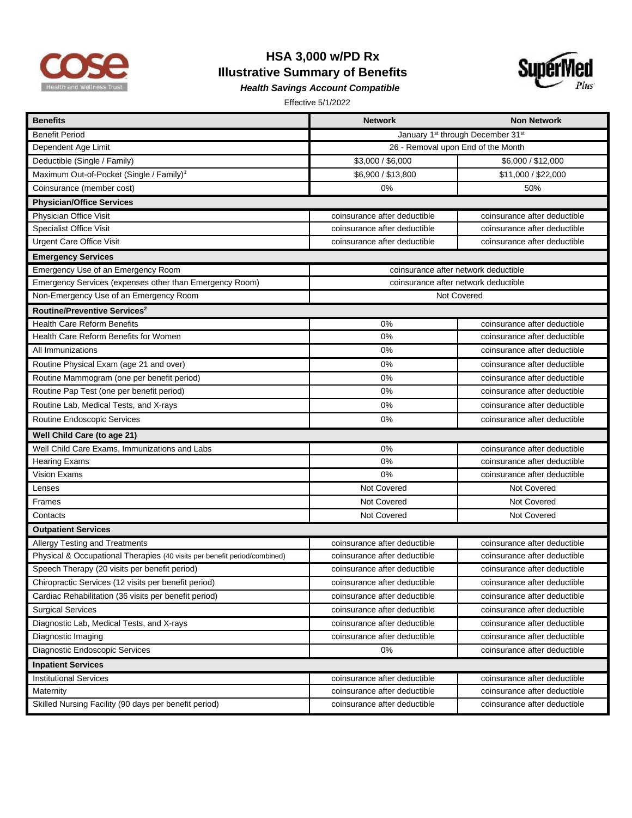

## **HSA 3,000 w/PD Rx Illustrative Summary of Benefits**



*Health Savings Account Compatible* 

Effective 5/1/2022

| <b>Benefits</b>                                                           | <b>Network</b>                                            | <b>Non Network</b>           |  |
|---------------------------------------------------------------------------|-----------------------------------------------------------|------------------------------|--|
| <b>Benefit Period</b>                                                     | January 1 <sup>st</sup> through December 31 <sup>st</sup> |                              |  |
| Dependent Age Limit                                                       | 26 - Removal upon End of the Month                        |                              |  |
| Deductible (Single / Family)                                              | \$3,000 / \$6,000                                         | \$6,000 / \$12,000           |  |
| Maximum Out-of-Pocket (Single / Family) <sup>1</sup>                      | \$6,900 / \$13,800                                        | \$11,000 / \$22,000          |  |
| Coinsurance (member cost)                                                 | 0%                                                        | 50%                          |  |
| <b>Physician/Office Services</b>                                          |                                                           |                              |  |
| Physician Office Visit                                                    | coinsurance after deductible                              | coinsurance after deductible |  |
| <b>Specialist Office Visit</b>                                            | coinsurance after deductible                              | coinsurance after deductible |  |
| <b>Urgent Care Office Visit</b>                                           | coinsurance after deductible                              | coinsurance after deductible |  |
| <b>Emergency Services</b>                                                 |                                                           |                              |  |
| Emergency Use of an Emergency Room                                        | coinsurance after network deductible                      |                              |  |
| Emergency Services (expenses other than Emergency Room)                   | coinsurance after network deductible                      |                              |  |
| Non-Emergency Use of an Emergency Room                                    | Not Covered                                               |                              |  |
| Routine/Preventive Services <sup>2</sup>                                  |                                                           |                              |  |
| <b>Health Care Reform Benefits</b>                                        | 0%                                                        | coinsurance after deductible |  |
| Health Care Reform Benefits for Women                                     | 0%                                                        | coinsurance after deductible |  |
| All Immunizations                                                         | 0%                                                        | coinsurance after deductible |  |
| Routine Physical Exam (age 21 and over)                                   | 0%                                                        | coinsurance after deductible |  |
| Routine Mammogram (one per benefit period)                                | 0%                                                        | coinsurance after deductible |  |
| Routine Pap Test (one per benefit period)                                 | 0%                                                        | coinsurance after deductible |  |
| Routine Lab, Medical Tests, and X-rays                                    | 0%                                                        | coinsurance after deductible |  |
| Routine Endoscopic Services                                               | 0%                                                        | coinsurance after deductible |  |
| Well Child Care (to age 21)                                               |                                                           |                              |  |
| Well Child Care Exams, Immunizations and Labs                             | 0%                                                        | coinsurance after deductible |  |
| <b>Hearing Exams</b>                                                      | 0%                                                        | coinsurance after deductible |  |
| Vision Exams                                                              | 0%                                                        | coinsurance after deductible |  |
| Lenses                                                                    | <b>Not Covered</b>                                        | <b>Not Covered</b>           |  |
| Frames                                                                    | <b>Not Covered</b>                                        | Not Covered                  |  |
| Contacts                                                                  | <b>Not Covered</b>                                        | Not Covered                  |  |
| <b>Outpatient Services</b>                                                |                                                           |                              |  |
| Allergy Testing and Treatments                                            | coinsurance after deductible                              | coinsurance after deductible |  |
| Physical & Occupational Therapies (40 visits per benefit period/combined) | coinsurance after deductible                              | coinsurance after deductible |  |
| Speech Therapy (20 visits per benefit period)                             | coinsurance after deductible                              | coinsurance after deductible |  |
| Chiropractic Services (12 visits per benefit period)                      | coinsurance after deductible                              | coinsurance after deductible |  |
| Cardiac Rehabilitation (36 visits per benefit period)                     | coinsurance after deductible                              | coinsurance after deductible |  |
| <b>Surgical Services</b>                                                  | coinsurance after deductible                              | coinsurance after deductible |  |
| Diagnostic Lab, Medical Tests, and X-rays                                 | coinsurance after deductible                              | coinsurance after deductible |  |
| Diagnostic Imaging                                                        | coinsurance after deductible                              | coinsurance after deductible |  |
| Diagnostic Endoscopic Services                                            | $0\%$                                                     | coinsurance after deductible |  |
| <b>Inpatient Services</b>                                                 |                                                           |                              |  |
| <b>Institutional Services</b>                                             | coinsurance after deductible                              | coinsurance after deductible |  |
| Maternity                                                                 | coinsurance after deductible                              | coinsurance after deductible |  |
| Skilled Nursing Facility (90 days per benefit period)                     | coinsurance after deductible                              | coinsurance after deductible |  |